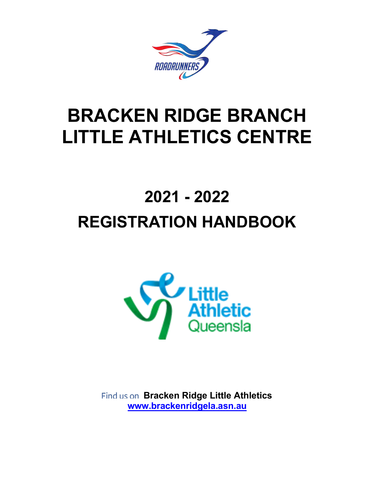

# BRACKEN RIDGE BRANCH LITTLE ATHLETICS CENTRE

# 2021 - 2022 REGISTRATION HANDBOOK



Find us on Bracken Ridge Little Athletics www.brackenridgela.asn.au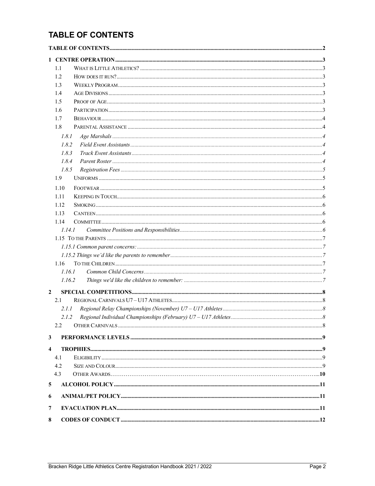# **TABLE OF CONTENTS**

|                         | 1.1        |  |
|-------------------------|------------|--|
|                         | 1.2        |  |
|                         | 1.3        |  |
|                         | 1.4        |  |
|                         | 1.5        |  |
|                         | 1.6        |  |
|                         | 1.7        |  |
|                         | 1.8        |  |
|                         | 1.8.1      |  |
|                         | 1.8.2      |  |
|                         | 1.8.3      |  |
|                         | 1.8.4      |  |
|                         | 1.8.5      |  |
|                         | 1.9        |  |
|                         | 1.10       |  |
|                         | 1.11       |  |
|                         | 1.12       |  |
|                         | 1.13       |  |
|                         | 1.14       |  |
|                         | 1.14.1     |  |
|                         |            |  |
|                         |            |  |
|                         |            |  |
|                         | 1.16       |  |
|                         | 1.16.1     |  |
|                         | 1.16.2     |  |
| $\overline{2}$          |            |  |
|                         | 2.1        |  |
|                         | 2.1.1      |  |
|                         |            |  |
|                         | 2.2        |  |
| 3                       |            |  |
| $\overline{\mathbf{4}}$ |            |  |
|                         |            |  |
|                         | 4.1<br>4.2 |  |
|                         | 4.3        |  |
| 5                       |            |  |
|                         |            |  |
| 6                       |            |  |
| 7                       |            |  |
| 8                       |            |  |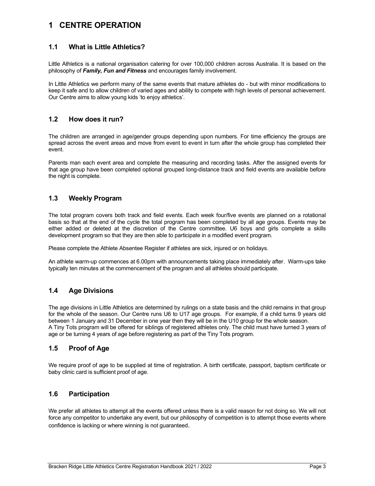# 1 CENTRE OPERATION

## 1.1 What is Little Athletics?

Little Athletics is a national organisation catering for over 100,000 children across Australia. It is based on the philosophy of Family, Fun and Fitness and encourages family involvement.

In Little Athletics we perform many of the same events that mature athletes do - but with minor modifications to keep it safe and to allow children of varied ages and ability to compete with high levels of personal achievement. Our Centre aims to allow young kids 'to enjoy athletics'.

## 1.2 How does it run?

The children are arranged in age/gender groups depending upon numbers. For time efficiency the groups are spread across the event areas and move from event to event in turn after the whole group has completed their event.

Parents man each event area and complete the measuring and recording tasks. After the assigned events for that age group have been completed optional grouped long-distance track and field events are available before the night is complete.

## 1.3 Weekly Program

The total program covers both track and field events. Each week four/five events are planned on a rotational basis so that at the end of the cycle the total program has been completed by all age groups. Events may be either added or deleted at the discretion of the Centre committee. U6 boys and girls complete a skills development program so that they are then able to participate in a modified event program.

Please complete the Athlete Absentee Register if athletes are sick, injured or on holidays.

An athlete warm-up commences at 6.00pm with announcements taking place immediately after. Warm-ups take typically ten minutes at the commencement of the program and all athletes should participate.

## 1.4 Age Divisions

The age divisions in Little Athletics are determined by rulings on a state basis and the child remains in that group for the whole of the season. Our Centre runs U6 to U17 age groups. For example, if a child turns 9 years old between 1 January and 31 December in one year then they will be in the U10 group for the whole season. A Tiny Tots program will be offered for siblings of registered athletes only. The child must have turned 3 years of age or be turning 4 years of age before registering as part of the Tiny Tots program.

## 1.5 Proof of Age

We require proof of age to be supplied at time of registration. A birth certificate, passport, baptism certificate or baby clinic card is sufficient proof of age.

## 1.6 Participation

We prefer all athletes to attempt all the events offered unless there is a valid reason for not doing so. We will not force any competitor to undertake any event, but our philosophy of competition is to attempt those events where confidence is lacking or where winning is not guaranteed.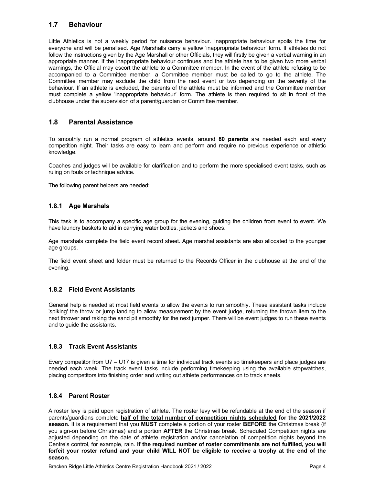## 1.7 Behaviour

Little Athletics is not a weekly period for nuisance behaviour. Inappropriate behaviour spoils the time for everyone and will be penalised. Age Marshalls carry a yellow 'inappropriate behaviour' form. If athletes do not follow the instructions given by the Age Marshall or other Officials, they will firstly be given a verbal warning in an appropriate manner. If the inappropriate behaviour continues and the athlete has to be given two more verbal warnings, the Official may escort the athlete to a Committee member. In the event of the athlete refusing to be accompanied to a Committee member, a Committee member must be called to go to the athlete. The Committee member may exclude the child from the next event or two depending on the severity of the behaviour. If an athlete is excluded, the parents of the athlete must be informed and the Committee member must complete a yellow 'inappropriate behaviour' form. The athlete is then required to sit in front of the clubhouse under the supervision of a parent/guardian or Committee member.

## 1.8 Parental Assistance

To smoothly run a normal program of athletics events, around 80 parents are needed each and every competition night. Their tasks are easy to learn and perform and require no previous experience or athletic knowledge.

Coaches and judges will be available for clarification and to perform the more specialised event tasks, such as ruling on fouls or technique advice.

The following parent helpers are needed:

## 1.8.1 Age Marshals

This task is to accompany a specific age group for the evening, guiding the children from event to event. We have laundry baskets to aid in carrying water bottles, jackets and shoes.

Age marshals complete the field event record sheet. Age marshal assistants are also allocated to the younger age groups.

The field event sheet and folder must be returned to the Records Officer in the clubhouse at the end of the evening.

## 1.8.2 Field Event Assistants

General help is needed at most field events to allow the events to run smoothly. These assistant tasks include 'spiking' the throw or jump landing to allow measurement by the event judge, returning the thrown item to the next thrower and raking the sand pit smoothly for the next jumper. There will be event judges to run these events and to guide the assistants.

### 1.8.3 Track Event Assistants

Every competitor from U7 – U17 is given a time for individual track events so timekeepers and place judges are needed each week. The track event tasks include performing timekeeping using the available stopwatches, placing competitors into finishing order and writing out athlete performances on to track sheets.

### 1.8.4 Parent Roster

A roster levy is paid upon registration of athlete. The roster levy will be refundable at the end of the season if parents/guardians complete half of the total number of competition nights scheduled for the 2021/2022 season. It is a requirement that you MUST complete a portion of your roster BEFORE the Christmas break (if you sign-on before Christmas) and a portion AFTER the Christmas break. Scheduled Competition nights are adjusted depending on the date of athlete registration and/or cancelation of competition nights beyond the Centre's control, for example, rain. If the required number of roster commitments are not fulfilled, you will forfeit your roster refund and your child WILL NOT be eligible to receive a trophy at the end of the season.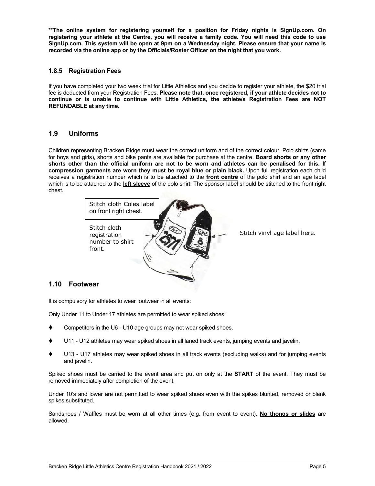\*\*The online system for registering yourself for a position for Friday nights is SignUp.com. On registering your athlete at the Centre, you will receive a family code. You will need this code to use SignUp.com. This system will be open at 9pm on a Wednesday night. Please ensure that your name is recorded via the online app or by the Officials/Roster Officer on the night that you work.

## 1.8.5 Registration Fees

If you have completed your two week trial for Little Athletics and you decide to register your athlete, the \$20 trial fee is deducted from your Registration Fees. Please note that, once registered, if your athlete decides not to continue or is unable to continue with Little Athletics, the athlete/s Registration Fees are NOT REFUNDABLE at any time.

## 1.9 Uniforms

Children representing Bracken Ridge must wear the correct uniform and of the correct colour. Polo shirts (same for boys and girls), shorts and bike pants are available for purchase at the centre. **Board shorts or any other** shorts other than the official uniform are not to be worn and athletes can be penalised for this. If compression garments are worn they must be royal blue or plain black. Upon full registration each child receives a registration number which is to be attached to the front centre of the polo shirt and an age label which is to be attached to the left sleeve of the polo shirt. The sponsor label should be stitched to the front right chest.



## 1.10 Footwear

It is compulsory for athletes to wear footwear in all events:

Only Under 11 to Under 17 athletes are permitted to wear spiked shoes:

- Competitors in the U6 U10 age groups may not wear spiked shoes.
- U11 U12 athletes may wear spiked shoes in all laned track events, jumping events and javelin.
- U13 U17 athletes may wear spiked shoes in all track events (excluding walks) and for jumping events and javelin.

Spiked shoes must be carried to the event area and put on only at the **START** of the event. They must be removed immediately after completion of the event.

Under 10's and lower are not permitted to wear spiked shoes even with the spikes blunted, removed or blank spikes substituted.

Sandshoes / Waffles must be worn at all other times (e.g. from event to event). No thongs or slides are allowed.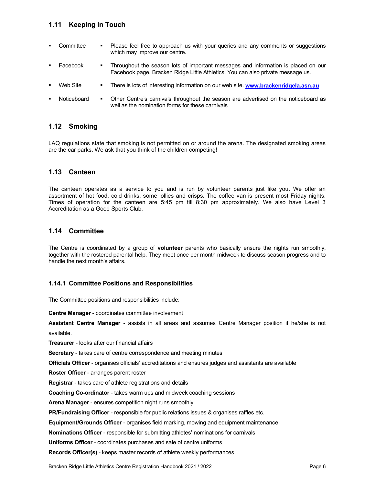## 1.11 Keeping in Touch

- Committee Please feel free to approach us with your queries and any comments or suggestions which may improve our centre.
- Facebook **Throughout the season lots of important messages and information is placed on our** Facebook page. Bracken Ridge Little Athletics. You can also private message us.
- Web Site **There is lots of interesting information on our web site. www.brackenridgela.asn.au**
- Noticeboard Other Centre's carnivals throughout the season are advertised on the noticeboard as well as the nomination forms for these carnivals

## 1.12 Smoking

LAQ regulations state that smoking is not permitted on or around the arena. The designated smoking areas are the car parks. We ask that you think of the children competing!

## 1.13 Canteen

The canteen operates as a service to you and is run by volunteer parents just like you. We offer an assortment of hot food, cold drinks, some lollies and crisps. The coffee van is present most Friday nights. Times of operation for the canteen are 5:45 pm till 8:30 pm approximately. We also have Level 3 Accreditation as a Good Sports Club.

## 1.14 Committee

The Centre is coordinated by a group of **volunteer** parents who basically ensure the nights run smoothly, together with the rostered parental help. They meet once per month midweek to discuss season progress and to handle the next month's affairs.

### 1.14.1 Committee Positions and Responsibilities

The Committee positions and responsibilities include:

Centre Manager - coordinates committee involvement

Assistant Centre Manager - assists in all areas and assumes Centre Manager position if he/she is not available.

Treasurer - looks after our financial affairs

Secretary - takes care of centre correspondence and meeting minutes

Officials Officer - organises officials' accreditations and ensures judges and assistants are available

Roster Officer - arranges parent roster

Registrar - takes care of athlete registrations and details

Coaching Co-ordinator - takes warm ups and midweek coaching sessions

Arena Manager - ensures competition night runs smoothly

PR/Fundraising Officer - responsible for public relations issues & organises raffles etc.

Equipment/Grounds Officer - organises field marking, mowing and equipment maintenance

Nominations Officer - responsible for submitting athletes' nominations for carnivals

Uniforms Officer - coordinates purchases and sale of centre uniforms

Records Officer(s) - keeps master records of athlete weekly performances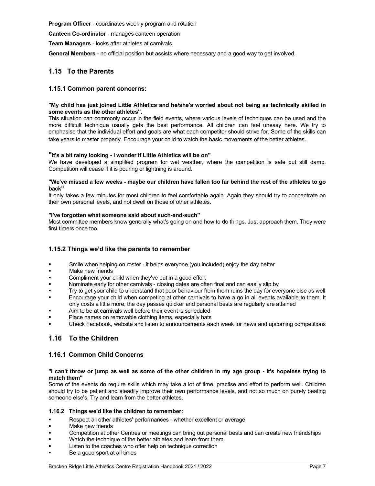Program Officer - coordinates weekly program and rotation

Canteen Co-ordinator - manages canteen operation

Team Managers - looks after athletes at carnivals

General Members - no official position but assists where necessary and a good way to get involved.

## 1.15 To the Parents

### 1.15.1 Common parent concerns:

#### "My child has just joined Little Athletics and he/she's worried about not being as technically skilled in some events as the other athletes".

This situation can commonly occur in the field events, where various levels of techniques can be used and the more difficult technique usually gets the best performance. All children can feel uneasy here. We try to emphasise that the individual effort and goals are what each competitor should strive for. Some of the skills can take years to master properly. Encourage your child to watch the basic movements of the better athletes.

#### "It's a bit rainy looking - I wonder if Little Athletics will be on"

We have developed a simplified program for wet weather, where the competition is safe but still damp. Competition will cease if it is pouring or lightning is around.

#### "We've missed a few weeks - maybe our children have fallen too far behind the rest of the athletes to go back"

It only takes a few minutes for most children to feel comfortable again. Again they should try to concentrate on their own personal levels, and not dwell on those of other athletes.

#### "I've forgotten what someone said about such-and-such"

Most committee members know generally what's going on and how to do things. Just approach them. They were first timers once too.

### 1.15.2 Things we'd like the parents to remember

- Smile when helping on roster it helps everyone (you included) enjoy the day better
- Make new friends
- Compliment your child when they've put in a good effort
- Nominate early for other carnivals closing dates are often final and can easily slip by
- Try to get your child to understand that poor behaviour from them ruins the day for everyone else as well
- Encourage your child when competing at other carnivals to have a go in all events available to them. It only costs a little more, the day passes quicker and personal bests are regularly are attained
- Aim to be at carnivals well before their event is scheduled
- Place names on removable clothing items, especially hats
- Check Facebook, website and listen to announcements each week for news and upcoming competitions

## 1.16 To the Children

### 1.16.1 Common Child Concerns

#### "I can't throw or jump as well as some of the other children in my age group - it's hopeless trying to match them"

Some of the events do require skills which may take a lot of time, practise and effort to perform well. Children should try to be patient and steadily improve their own performance levels, and not so much on purely beating someone else's. Try and learn from the better athletes.

#### 1.16.2 Things we'd like the children to remember:

- Respect all other athletes' performances whether excellent or average
- Make new friends
- Competition at other Centres or meetings can bring out personal bests and can create new friendships
- Watch the technique of the better athletes and learn from them
- Listen to the coaches who offer help on technique correction
- Be a good sport at all times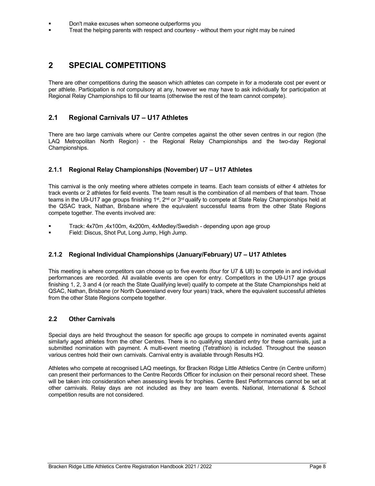- Don't make excuses when someone outperforms you
- Treat the helping parents with respect and courtesy without them your night may be ruined

# 2 SPECIAL COMPETITIONS

There are other competitions during the season which athletes can compete in for a moderate cost per event or per athlete. Participation is not compulsory at any, however we may have to ask individually for participation at Regional Relay Championships to fill our teams (otherwise the rest of the team cannot compete).

## 2.1 Regional Carnivals U7 – U17 Athletes

There are two large carnivals where our Centre competes against the other seven centres in our region (the LAQ Metropolitan North Region) - the Regional Relay Championships and the two-day Regional Championships.

## 2.1.1 Regional Relay Championships (November) U7 – U17 Athletes

This carnival is the only meeting where athletes compete in teams. Each team consists of either 4 athletes for track events or 2 athletes for field events. The team result is the combination of all members of that team. Those teams in the U9-U17 age groups finishing 1<sup>st</sup>, 2<sup>nd</sup> or 3<sup>rd</sup> qualify to compete at State Relay Championships held at the QSAC track, Nathan, Brisbane where the equivalent successful teams from the other State Regions compete together. The events involved are:

- Track: 4x70m ,4x100m, 4x200m, 4xMedley/Swedish depending upon age group
- Field: Discus, Shot Put, Long Jump, High Jump.

## 2.1.2 Regional Individual Championships (January/February) U7 – U17 Athletes

This meeting is where competitors can choose up to five events (four for U7 & U8) to compete in and individual performances are recorded. All available events are open for entry. Competitors in the U9-U17 age groups finishing 1, 2, 3 and 4 (or reach the State Qualifying level) qualify to compete at the State Championships held at QSAC, Nathan, Brisbane (or North Queensland every four years) track, where the equivalent successful athletes from the other State Regions compete together.

## 2.2 Other Carnivals

Special days are held throughout the season for specific age groups to compete in nominated events against similarly aged athletes from the other Centres. There is no qualifying standard entry for these carnivals, just a submitted nomination with payment. A multi-event meeting (Tetrathlon) is included. Throughout the season various centres hold their own carnivals. Carnival entry is available through Results HQ.

Athletes who compete at recognised LAQ meetings, for Bracken Ridge Little Athletics Centre (in Centre uniform) can present their performances to the Centre Records Officer for inclusion on their personal record sheet. These will be taken into consideration when assessing levels for trophies. Centre Best Performances cannot be set at other carnivals. Relay days are not included as they are team events. National, International & School competition results are not considered.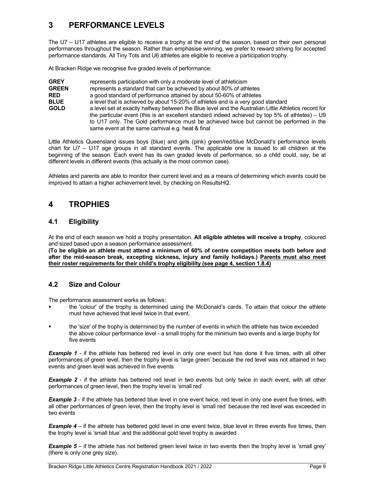# 3 PERFORMANCE LEVELS

The U7 – U17 athletes are eligible to receive a trophy at the end of the season, based on their own personal performances throughout the season. Rather than emphasise winning, we prefer to reward striving for accepted performance standards. All Tiny Tots and U6 athletes are eligible to receive a participation trophy.

At Bracken Ridge we recognise five graded levels of performance:

GREY represents participation with only a moderate level of athleticism GREEN represents a standard that can be achieved by about 80% of athletes **RED** a good standard of performance attained by about 50-60% of athletes **BLUE** a level that is achieved by about 15-20% of athletes and is a very good standard GOLD a level set at exactly halfway between the Blue level and the Australian Little Athletics record for the particular event (this is an excellent standard indeed achieved by top 5% of athletes) – U9 to U17 only. The Gold performance must be achieved twice but cannot be performed in the same event at the same carnival e.g. heat & final

Little Athletics Queensland issues boys (blue) and girls (pink) green/red/blue McDonald's performance levels chart for U7 – U17 age groups in all standard events. The applicable one is issued to all children at the beginning of the season. Each event has its own graded levels of performance, so a child could, say, be at different levels in different events (this actually is the most common case).

Athletes and parents are able to monitor their current level and as a means of determining which events could be improved to attain a higher achievement level, by checking on ResultsHQ.

# 4 TROPHIES

## 4.1 Eligibility

At the end of each season we hold a trophy presentation. All eligible athletes will receive a trophy, coloured and sized based upon a season performance assessment.

(To be eligible an athlete must attend a minimum of 60% of centre competition meets both before and after the mid-season break, excepting sickness, injury and family holidays.) Parents must also meet their roster requirements for their child's trophy eligibility (see page 4, section 1.8.4)

## 4.2 Size and Colour

The performance assessment works as follows:

- the 'colour' of the trophy is determined using the McDonald's cards. To attain that colour the athlete must have achieved that level twice in that event.
- the 'size' of the trophy is determined by the number of events in which the athlete has twice exceeded the above colour performance level - a small trophy for the minimum two events and a large trophy for five events

**Example 1** - if the athlete has bettered red level in only one event but has done it five times, with all other performances of green level, then the trophy level is 'large green' because the red level was not attained in two events and green level was achieved in five events

**Example 2** - if the athlete has bettered red level in two events but only twice in each event, with all other performances of green level, then the trophy level is 'small red'

**Example 3** - if the athlete has bettered blue level in one event twice, red level in only one event five times, with all other performances of green level, then the trophy level is 'small red' because the red level was exceeded in two events

**Example 4** – if the athlete has bettered gold level in one event twice, blue level in three events five times, then the trophy level is 'small blue' and the additional gold level trophy is awarded

**Example 5** – if the athlete has not bettered green level twice in two events then the trophy level is 'small grey' (there is only one grey size).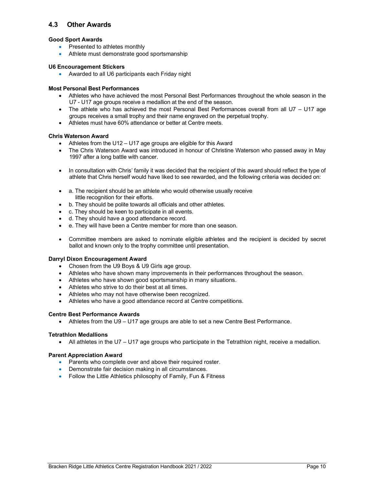## 4.3 Other Awards

### Good Sport Awards

- Presented to athletes monthly
- Athlete must demonstrate good sportsmanship

### U6 Encouragement Stickers

Awarded to all U6 participants each Friday night

## Most Personal Best Performances

- Athletes who have achieved the most Personal Best Performances throughout the whole season in the U7 - U17 age groups receive a medallion at the end of the season.
- The athlete who has achieved the most Personal Best Performances overall from all U7 U17 age groups receives a small trophy and their name engraved on the perpetual trophy.
- Athletes must have 60% attendance or better at Centre meets.

### Chris Waterson Award

- Athletes from the U12 U17 age groups are eligible for this Award
- The Chris Waterson Award was introduced in honour of Christine Waterson who passed away in May 1997 after a long battle with cancer.
- In consultation with Chris' family it was decided that the recipient of this award should reflect the type of athlete that Chris herself would have liked to see rewarded, and the following criteria was decided on:
- a. The recipient should be an athlete who would otherwise usually receive little recognition for their efforts.
- b. They should be polite towards all officials and other athletes.
- c. They should be keen to participate in all events.
- d. They should have a good attendance record.
- e. They will have been a Centre member for more than one season.
- Committee members are asked to nominate eligible athletes and the recipient is decided by secret ballot and known only to the trophy committee until presentation.

### Darryl Dixon Encouragement Award

- Chosen from the U9 Boys & U9 Girls age group.
- Athletes who have shown many improvements in their performances throughout the season.
- Athletes who have shown good sportsmanship in many situations.
- Athletes who strive to do their best at all times.
- Athletes who may not have otherwise been recognized.
- Athletes who have a good attendance record at Centre competitions.

### Centre Best Performance Awards

Athletes from the U9 – U17 age groups are able to set a new Centre Best Performance.

### Tetrathlon Medallions

• All athletes in the U7 – U17 age groups who participate in the Tetrathlon night, receive a medallion.

### Parent Appreciation Award

- Parents who complete over and above their required roster.
- **•** Demonstrate fair decision making in all circumstances.
- Follow the Little Athletics philosophy of Family, Fun & Fitness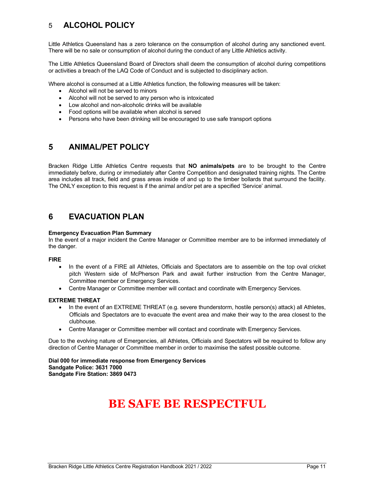# 5 ALCOHOL POLICY

Little Athletics Queensland has a zero tolerance on the consumption of alcohol during any sanctioned event. There will be no sale or consumption of alcohol during the conduct of any Little Athletics activity.

The Little Athletics Queensland Board of Directors shall deem the consumption of alcohol during competitions or activities a breach of the LAQ Code of Conduct and is subjected to disciplinary action.

Where alcohol is consumed at a Little Athletics function, the following measures will be taken:

- Alcohol will not be served to minors
- Alcohol will not be served to any person who is intoxicated
- Low alcohol and non-alcoholic drinks will be available
- Food options will be available when alcohol is served
- Persons who have been drinking will be encouraged to use safe transport options

## 5 ANIMAL/PET POLICY

Bracken Ridge Little Athletics Centre requests that NO animals/pets are to be brought to the Centre immediately before, during or immediately after Centre Competition and designated training nights. The Centre area includes all track, field and grass areas inside of and up to the timber bollards that surround the facility. The ONLY exception to this request is if the animal and/or pet are a specified 'Service' animal.

# 6 EVACUATION PLAN

#### Emergency Evacuation Plan Summary

In the event of a major incident the Centre Manager or Committee member are to be informed immediately of the danger.

#### FIRE

- In the event of a FIRE all Athletes, Officials and Spectators are to assemble on the top oval cricket pitch Western side of McPherson Park and await further instruction from the Centre Manager, Committee member or Emergency Services.
- Centre Manager or Committee member will contact and coordinate with Emergency Services.

### EXTREME THREAT

- In the event of an EXTREME THREAT (e.g. severe thunderstorm, hostile person(s) attack) all Athletes, Officials and Spectators are to evacuate the event area and make their way to the area closest to the clubhouse.
- Centre Manager or Committee member will contact and coordinate with Emergency Services.

Due to the evolving nature of Emergencies, all Athletes, Officials and Spectators will be required to follow any direction of Centre Manager or Committee member in order to maximise the safest possible outcome.

Dial 000 for immediate response from Emergency Services Sandgate Police: 3631 7000 Sandgate Fire Station: 3869 0473

# BE SAFE BE RESPECTFUL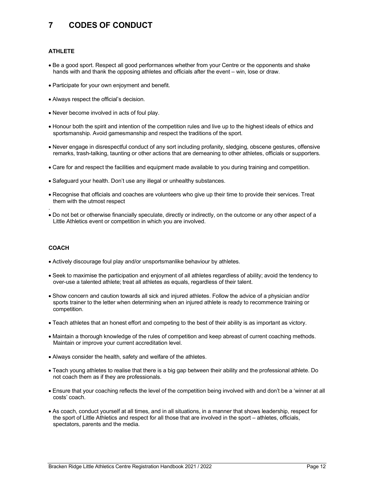# 7 CODES OF CONDUCT

## ATHLETE

- Be a good sport. Respect all good performances whether from your Centre or the opponents and shake hands with and thank the opposing athletes and officials after the event – win, lose or draw.
- Participate for your own enjoyment and benefit.
- Always respect the official's decision.
- Never become involved in acts of foul play.
- Honour both the spirit and intention of the competition rules and live up to the highest ideals of ethics and sportsmanship. Avoid gamesmanship and respect the traditions of the sport.
- Never engage in disrespectful conduct of any sort including profanity, sledging, obscene gestures, offensive remarks, trash-talking, taunting or other actions that are demeaning to other athletes, officials or supporters.
- Care for and respect the facilities and equipment made available to you during training and competition.
- Safeguard your health. Don't use any illegal or unhealthy substances.
- Recognise that officials and coaches are volunteers who give up their time to provide their services. Treat them with the utmost respect
- Do not bet or otherwise financially speculate, directly or indirectly, on the outcome or any other aspect of a Little Athletics event or competition in which you are involved.

### **COACH**

.

- Actively discourage foul play and/or unsportsmanlike behaviour by athletes.
- Seek to maximise the participation and enjoyment of all athletes regardless of ability; avoid the tendency to over-use a talented athlete; treat all athletes as equals, regardless of their talent.
- Show concern and caution towards all sick and injured athletes. Follow the advice of a physician and/or sports trainer to the letter when determining when an injured athlete is ready to recommence training or competition.
- Teach athletes that an honest effort and competing to the best of their ability is as important as victory.
- Maintain a thorough knowledge of the rules of competition and keep abreast of current coaching methods. Maintain or improve your current accreditation level.
- Always consider the health, safety and welfare of the athletes.
- Teach young athletes to realise that there is a big gap between their ability and the professional athlete. Do not coach them as if they are professionals.
- Ensure that your coaching reflects the level of the competition being involved with and don't be a 'winner at all costs' coach.
- As coach, conduct yourself at all times, and in all situations, in a manner that shows leadership, respect for the sport of Little Athletics and respect for all those that are involved in the sport – athletes, officials, spectators, parents and the media.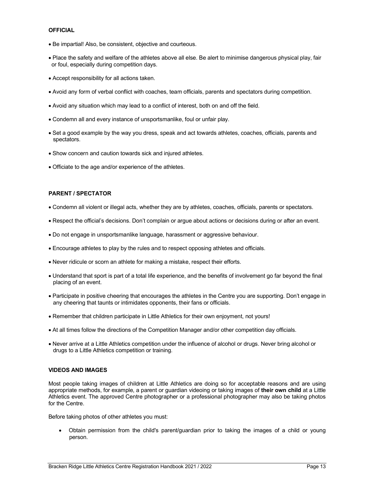#### **OFFICIAL**

- Be impartial! Also, be consistent, objective and courteous.
- Place the safety and welfare of the athletes above all else. Be alert to minimise dangerous physical play, fair or foul, especially during competition days.
- Accept responsibility for all actions taken.
- Avoid any form of verbal conflict with coaches, team officials, parents and spectators during competition.
- Avoid any situation which may lead to a conflict of interest, both on and off the field.
- Condemn all and every instance of unsportsmanlike, foul or unfair play.
- Set a good example by the way you dress, speak and act towards athletes, coaches, officials, parents and spectators.
- Show concern and caution towards sick and injured athletes.
- Officiate to the age and/or experience of the athletes.

#### PARENT / SPECTATOR

- Condemn all violent or illegal acts, whether they are by athletes, coaches, officials, parents or spectators.
- Respect the official's decisions. Don't complain or argue about actions or decisions during or after an event.
- Do not engage in unsportsmanlike language, harassment or aggressive behaviour.
- Encourage athletes to play by the rules and to respect opposing athletes and officials.
- Never ridicule or scorn an athlete for making a mistake, respect their efforts.
- Understand that sport is part of a total life experience, and the benefits of involvement go far beyond the final placing of an event.
- Participate in positive cheering that encourages the athletes in the Centre you are supporting. Don't engage in any cheering that taunts or intimidates opponents, their fans or officials.
- Remember that children participate in Little Athletics for their own enjoyment, not yours!
- At all times follow the directions of the Competition Manager and/or other competition day officials.
- Never arrive at a Little Athletics competition under the influence of alcohol or drugs. Never bring alcohol or drugs to a Little Athletics competition or training.

### VIDEOS AND IMAGES

Most people taking images of children at Little Athletics are doing so for acceptable reasons and are using appropriate methods, for example, a parent or guardian videoing or taking images of their own child at a Little Athletics event. The approved Centre photographer or a professional photographer may also be taking photos for the Centre.

Before taking photos of other athletes you must:

 Obtain permission from the child's parent/guardian prior to taking the images of a child or young person.